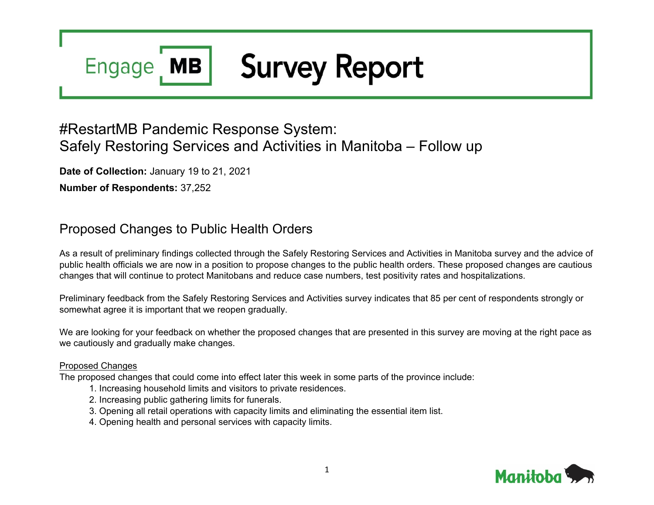## **Survey Report MB Engage**

# #RestartMB Pandemic Response System: Safely Restoring Services and Activities in Manitoba – Follow up

**Date of Collection:** January 19 to 21, 2021

**Number of Respondents:** 37,252

## Proposed Changes to Public Health Orders

As a result of preliminary findings collected through the Safely Restoring Services and Activities in Manitoba survey and the advice of public health officials we are now in a position to propose changes to the public health orders. These proposed changes are cautious changes that will continue to protect Manitobans and reduce case numbers, test positivity rates and hospitalizations.

Preliminary feedback from the Safely Restoring Services and Activities survey indicates that 85 per cent of respondents strongly or somewhat agree it is important that we reopen gradually.

We are looking for your feedback on whether the proposed changes that are presented in this survey are moving at the right pace as we cautiously and gradually make changes.

#### Proposed Changes

The proposed changes that could come into effect later this week in some parts of the province include:

- 1. Increasing household limits and visitors to private residences.
- 2. Increasing public gathering limits for funerals.
- 3. Opening all retail operations with capacity limits and eliminating the essential item list.
- 4. Opening health and personal services with capacity limits.

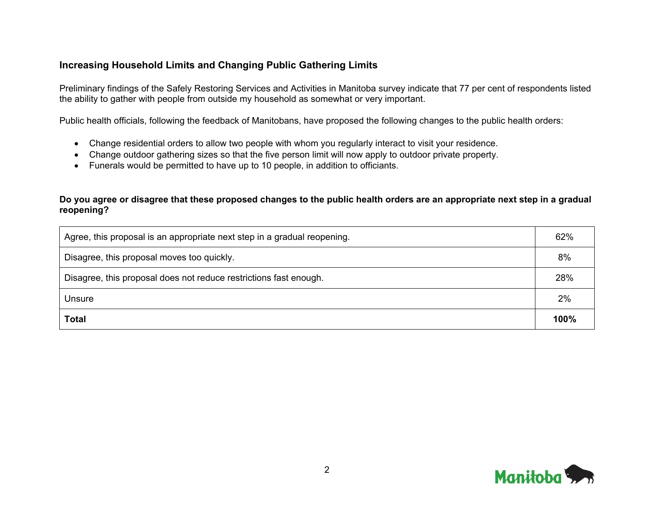### **Increasing Household Limits and Changing Public Gathering Limits**

Preliminary findings of the Safely Restoring Services and Activities in Manitoba survey indicate that 77 per cent of respondents listed the ability to gather with people from outside my household as somewhat or very important.

Public health officials, following the feedback of Manitobans, have proposed the following changes to the public health orders:

- Change residential orders to allow two people with whom you regularly interact to visit your residence.
- Change outdoor gathering sizes so that the five person limit will now apply to outdoor private property.
- Funerals would be permitted to have up to 10 people, in addition to officiants.

#### **Do you agree or disagree that these proposed changes to the public health orders are an appropriate next step in a gradual reopening?**

| Agree, this proposal is an appropriate next step in a gradual reopening. | 62%  |
|--------------------------------------------------------------------------|------|
| Disagree, this proposal moves too quickly.                               | 8%   |
| Disagree, this proposal does not reduce restrictions fast enough.        | 28%  |
| Unsure                                                                   | 2%   |
| <b>Total</b>                                                             | 100% |

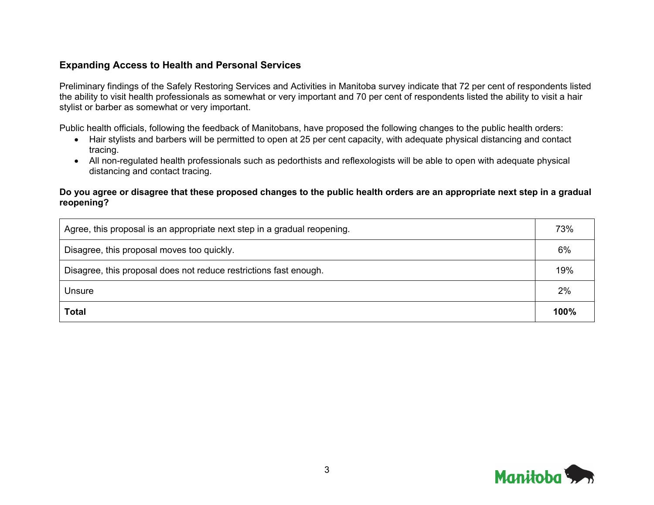### **Expanding Access to Health and Personal Services**

Preliminary findings of the Safely Restoring Services and Activities in Manitoba survey indicate that 72 per cent of respondents listed the ability to visit health professionals as somewhat or very important and 70 per cent of respondents listed the ability to visit a hair stylist or barber as somewhat or very important.

Public health officials, following the feedback of Manitobans, have proposed the following changes to the public health orders:

- Hair stylists and barbers will be permitted to open at 25 per cent capacity, with adequate physical distancing and contact tracing.
- All non-regulated health professionals such as pedorthists and reflexologists will be able to open with adequate physical distancing and contact tracing.

#### **Do you agree or disagree that these proposed changes to the public health orders are an appropriate next step in a gradual reopening?**

| Agree, this proposal is an appropriate next step in a gradual reopening. | 73%  |
|--------------------------------------------------------------------------|------|
| Disagree, this proposal moves too quickly.                               | 6%   |
| Disagree, this proposal does not reduce restrictions fast enough.        | 19%  |
| Unsure                                                                   | 2%   |
| <b>Total</b>                                                             | 100% |